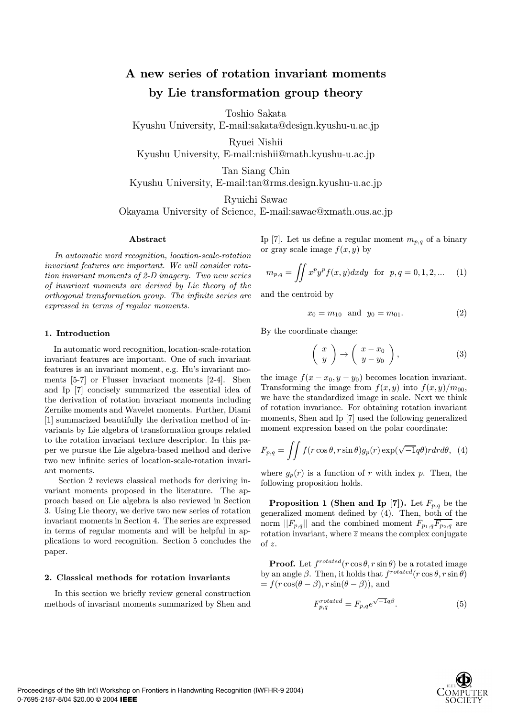# A new series of rotation invariant moments by Lie transformation group theory

Toshio Sakata

Kyushu University, E-mail:sakata@design.kyushu-u.ac.jp

Ryuei Nishii

Kyushu University, E-mail:nishii@math.kyushu-u.ac.jp

Tan Siang Chin Kyushu University, E-mail:tan@rms.design.kyushu-u.ac.jp

Ryuichi Sawae

Okayama University of Science, E-mail:sawae@xmath.ous.ac.jp

## Abstract

In automatic word recognition, location-scale-rotation invariant features are important. We will consider rotation invariant moments of 2-D imagery. Two new series of invariant moments are derived by Lie theory of the orthogonal transformation group. The infinite series are expressed in terms of regular moments.

## 1. Introduction

In automatic word recognition, location-scale-rotation invariant features are important. One of such invariant features is an invariant moment, e.g. Hu's invariant moments [5-7] or Flusser invariant moments [2-4]. Shen and Ip [7] concisely summarized the essential idea of the derivation of rotation invariant moments including Zernike moments and Wavelet moments. Further, Diami [1] summarized beautifully the derivation method of invariants by Lie algebra of transformation groups related to the rotation invariant texture descriptor. In this paper we pursue the Lie algebra-based method and derive two new infinite series of location-scale-rotation invariant moments.

Section 2 reviews classical methods for deriving invariant moments proposed in the literature. The approach based on Lie algebra is also reviewed in Section 3. Using Lie theory, we derive two new series of rotation invariant moments in Section 4. The series are expressed in terms of regular moments and will be helpful in applications to word recognition. Section 5 concludes the paper.

## 2. Classical methods for rotation invariants

In this section we briefly review general construction methods of invariant moments summarized by Shen and

Ip [7]. Let us define a regular moment  $m_{p,q}$  of a binary or gray scale image  $f(x, y)$  by

$$
m_{p,q} = \iint x^p y^p f(x, y) dx dy \text{ for } p, q = 0, 1, 2, \dots \quad (1)
$$

and the centroid by

$$
x_0 = m_{10} \text{ and } y_0 = m_{01}.\tag{2}
$$

By the coordinate change:

$$
\left(\begin{array}{c} x \\ y \end{array}\right) \rightarrow \left(\begin{array}{c} x - x_0 \\ y - y_0 \end{array}\right), \tag{3}
$$

the image  $f(x - x_0, y - y_0)$  becomes location invariant. Transforming the image from  $f(x, y)$  into  $f(x, y)/m_{00}$ , we have the standardized image in scale. Next we think of rotation invariance. For obtaining rotation invariant moments, Shen and Ip [7] used the following generalized moment expression based on the polar coordinate:

$$
F_{p,q} = \iint f(r \cos \theta, r \sin \theta) g_p(r) \exp(\sqrt{-1}q\theta) r dr d\theta, \tag{4}
$$

where  $g_p(r)$  is a function of r with index p. Then, the following proposition holds.

**Proposition 1 (Shen and Ip [7]).** Let  $F_{p,q}$  be the generalized moment defined by (4). Then, both of the norm  $||F_{p,q}||$  and the combined moment  $F_{p_1,q}\overline{F_{p_2,q}}$  are rotation invariant, where  $\overline{z}$  means the complex conjugate of z.

**Proof.** Let  $f^{rotated}(r \cos \theta, r \sin \theta)$  be a rotated image by an angle  $\beta$ . Then, it holds that  $f^{rotated}(r\cos\theta, r\sin\theta)$  $= f(r \cos(\theta - \beta), r \sin(\theta - \beta))$ , and

$$
F_{p,q}^{rotated} = F_{p,q} e^{\sqrt{-1}q\beta}.
$$
 (5)

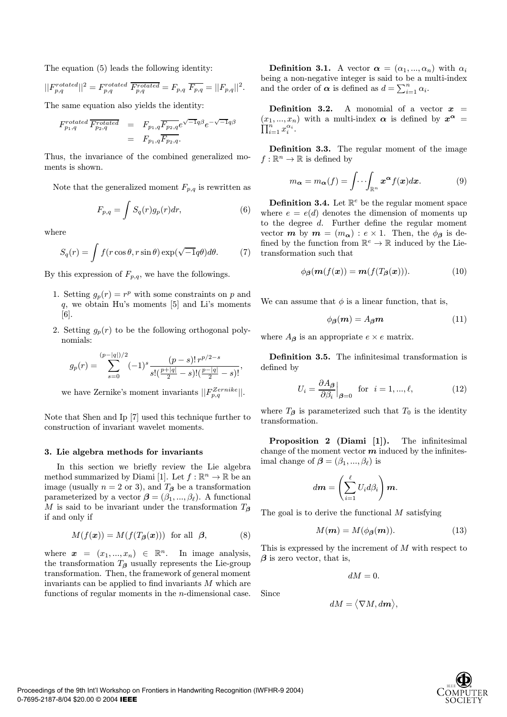The equation (5) leads the following identity:

$$
||F_{p,q}^{rotated}||^2 = F_{p,q}^{rotated} \overline{F_{p,q}^{rotated}} = F_{p,q} \overline{F_{p,q}} = ||F_{p,q}||^2.
$$

The same equation also yields the identity:

$$
F_{p_1,q}^{rotated} \overline{F_{p_2,q}^{rotated}} = F_{p_1,q} \overline{F_{p_2,q}} e^{\sqrt{-1}q\beta} e^{-\sqrt{-1}q\beta}
$$
  
= 
$$
F_{p_1,q} \overline{F_{p_2,q}}.
$$

Thus, the invariance of the combined generalized moments is shown.

Note that the generalized moment  $F_{p,q}$  is rewritten as

$$
F_{p,q} = \int S_q(r)g_p(r)dr,\tag{6}
$$

where

$$
S_q(r) = \int f(r \cos \theta, r \sin \theta) \exp(\sqrt{-1}q\theta) d\theta.
$$
 (7)

By this expression of  $F_{p,q}$ , we have the followings.

- 1. Setting  $g_p(r) = r^p$  with some constraints on p and q, we obtain Hu's moments [5] and Li's moments [6].
- 2. Setting  $g_p(r)$  to be the following orthogonal polynomials:

$$
g_p(r) = \sum_{s=0}^{(p-|q|)/2} (-1)^s \frac{(p-s)! \, r^{p/2-s}}{s! \left(\frac{p+|q|}{2} - s\right)! \left(\frac{p-|q|}{2} - s\right)!},
$$

we have Zernike's moment invariants  $||F_{p,q}^{Zernike}||.$ 

Note that Shen and Ip [7] used this technique further to construction of invariant wavelet moments.

#### 3. Lie algebra methods for invariants

In this section we briefly review the Lie algebra method summarized by Diami [1]. Let  $f : \mathbb{R}^n \to \mathbb{R}$  be an image (usually  $n = 2$  or 3), and  $T_\beta$  be a transformation parameterized by a vector  $\boldsymbol{\beta} = (\beta_1, ..., \beta_\ell)$ . A functional M is said to be invariant under the transformation  $T_{\beta}$ if and only if

$$
M(f(\boldsymbol{x})) = M(f(T_{\boldsymbol{\beta}}(\boldsymbol{x}))) \text{ for all } \boldsymbol{\beta}, \tag{8}
$$

where  $\boldsymbol{x} = (x_1, ..., x_n) \in \mathbb{R}^n$ . In image analysis, the transformation  $T_{\beta}$  usually represents the Lie-group transformation. Then, the framework of general moment invariants can be applied to find invariants  $M$  which are functions of regular moments in the  $n$ -dimensional case.

**Definition 3.1.** A vector  $\alpha = (\alpha_1, ..., \alpha_n)$  with  $\alpha_i$ being a non-negative integer is said to be a multi-index and the order of  $\boldsymbol{\alpha}$  is defined as  $d = \sum_{i=1}^{n} \alpha_i$ .

**Definition 3.2.** A monomial of a vector  $x =$  $(x_1, ..., x_n)$  with a multi-index  $\alpha$  is defined by  $x^{\alpha} = \prod_{i=1}^{n} x_i^{\alpha_i}$ .  $\sum_{i=1}^n x_i^{\alpha_i}.$ 

Definition 3.3. The regular moment of the image  $f:\mathbb{R}^n\to\mathbb{R}$  is defined by

$$
m_{\alpha} = m_{\alpha}(f) = \int \cdots \int_{\mathbb{R}^n} x^{\alpha} f(x) dx.
$$
 (9)

**Definition 3.4.** Let  $\mathbb{R}^e$  be the regular moment space where  $e = e(d)$  denotes the dimension of moments up to the degree d. Further define the regular moment vector **m** by  $m = (m_{\alpha}) : e \times 1$ . Then, the  $\phi_{\beta}$  is defined by the function from  $\mathbb{R}^e \to \mathbb{R}$  induced by the Lietransformation such that

$$
\phi_{\beta}(\mathbf{m}(f(\mathbf{x})) = \mathbf{m}(f(T_{\beta}(\mathbf{x}))). \qquad (10)
$$

We can assume that  $\phi$  is a linear function, that is,

$$
\phi_{\beta}(m) = A_{\beta}m \tag{11}
$$

where  $A_{\beta}$  is an appropriate  $e \times e$  matrix.

Definition 3.5. The infinitesimal transformation is defined by

$$
U_i = \frac{\partial A_\beta}{\partial \beta_i} \Big|_{\beta=0} \quad \text{for} \quad i = 1, ..., \ell,
$$
 (12)

where  $T_{\beta}$  is parameterized such that  $T_0$  is the identity transformation.

Proposition 2 (Diami [1]). The infinitesimal change of the moment vector  $m$  induced by the infinitesimal change of  $\boldsymbol{\beta} = (\beta_1, ..., \beta_\ell)$  is

$$
d\boldsymbol{m} = \left(\sum_{i=1}^{\ell} U_i d\beta_i\right) \boldsymbol{m}.
$$

The goal is to derive the functional  $M$  satisfying

$$
M(m) = M(\phi_{\beta}(m)). \tag{13}
$$

This is expressed by the increment of  $M$  with respect to  $\beta$  is zero vector, that is,

$$
dM=0.
$$

Since

$$
dM = \big\langle \nabla M, d\boldsymbol{m} \big\rangle,
$$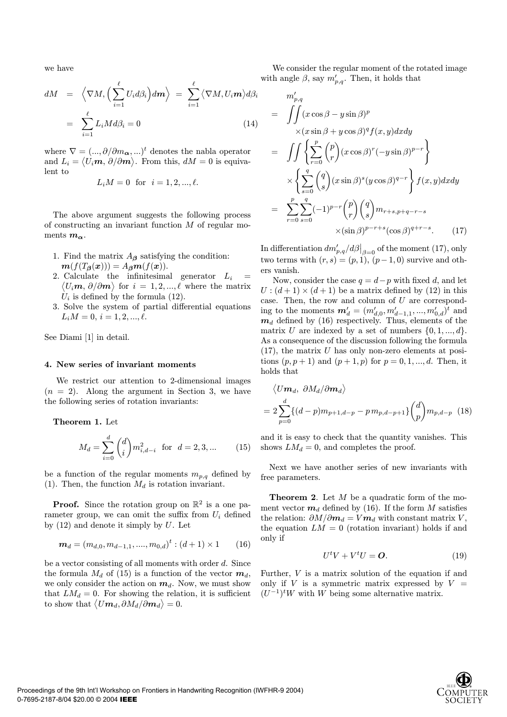we have

$$
dM = \left\langle \nabla M, \left( \sum_{i=1}^{\ell} U_i d\beta_i \right) d\mathbf{m} \right\rangle = \sum_{i=1}^{\ell} \left\langle \nabla M, U_i \mathbf{m} \right\rangle d\beta_i
$$

$$
= \sum_{i=1}^{\ell} L_i M d\beta_i = 0 \tag{14}
$$

where  $\nabla = (..., \partial/\partial m_{\alpha}, ...)$ <sup>t</sup> denotes the nabla operator and  $L_i = \langle U_i \boldsymbol{m}, \partial/\partial \boldsymbol{m} \rangle$ . From this,  $dM = 0$  is equivalent to

$$
L_i M = 0
$$
 for  $i = 1, 2, ..., \ell$ .

The above argument suggests the following process of constructing an invariant function  $M$  of regular moments  $m_{\alpha}$ .

- 1. Find the matrix  $A_{\beta}$  satisfying the condition:  $m(f(T_\beta(x))) = A_\beta m(f(x)).$
- 2. Calculate the infinitesimal generator  $L_i =$  $\langle U_i \boldsymbol{m}, \partial/\partial \boldsymbol{m} \rangle$  for  $i = 1, 2, ..., \ell$  where the matrix  $U_i$  is defined by the formula (12).
- 3. Solve the system of partial differential equations  $L_i M = 0, i = 1, 2, ..., \ell.$

See Diami [1] in detail.

#### 4. New series of invariant moments

We restrict our attention to 2-dimensional images  $(n = 2)$ . Along the argument in Section 3, we have the following series of rotation invariants:

Theorem 1. Let

$$
M_d = \sum_{i=0}^{d} \binom{d}{i} m_{i,d-i}^2 \text{ for } d = 2, 3, ... \tag{15}
$$

be a function of the regular moments  $m_{p,q}$  defined by (1). Then, the function  $M_d$  is rotation invariant.

**Proof.** Since the rotation group on  $\mathbb{R}^2$  is a one parameter group, we can omit the suffix from  $U_i$  defined by  $(12)$  and denote it simply by U. Let

$$
\boldsymbol{m}_d = (m_{d,0}, m_{d-1,1}, \dots, m_{0,d})^t : (d+1) \times 1 \qquad (16)
$$

be a vector consisting of all moments with order  $d$ . Since the formula  $M_d$  of (15) is a function of the vector  $m_d$ , we only consider the action on  $m_d$ . Now, we must show that  $LM_d = 0$ . For showing the relation, it is sufficient  ${\rm\textbf{t}}$  to show that  $\big\langle U\bm{m}_d,\partial M_d/\bar{\partial}\bm{m}_d\big\rangle=0.$ 

We consider the regular moment of the rotated image with angle  $\beta$ , say  $m'_{p,q}$ . Then, it holds that

$$
m'_{p,q}
$$
  
= 
$$
\iint (x \cos \beta - y \sin \beta)^p
$$
  

$$
\times (x \sin \beta + y \cos \beta)^q f(x, y) dxdy
$$
  
= 
$$
\iint \left\{ \sum_{r=0}^p {p \choose r} (x \cos \beta)^r (-y \sin \beta)^{p-r} \right\}
$$
  

$$
\times \left\{ \sum_{s=0}^q {q \choose s} (x \sin \beta)^s (y \cos \beta)^{q-r} \right\} f(x, y) dxdy
$$
  
= 
$$
\sum_{r=0}^p \sum_{s=0}^q (-1)^{p-r} {p \choose r} {q \choose s} m_{r+s, p+q-r-s}
$$
  

$$
\times (\sin \beta)^{p-r+s} (\cos \beta)^{q+r-s}.
$$
 (17)

In differentiation  $dm'_{p,q}/d\beta\big|_{\beta=0}$  of the moment (17), only two terms with  $(r, s) = (p, 1), (p - 1, 0)$  survive and others vanish.

Now, consider the case  $q = d - p$  with fixed d, and let  $U$ :  $(d+1) \times (d+1)$  be a matrix defined by (12) in this case. Then, the row and column of  $U$  are corresponding to the moments  $\mathbf{m}'_d = (m'_{d,0}, m'_{d-1,1}, ..., m'_{0,d})^t$  and  $m_d$  defined by (16) respectively. Thus, elements of the matrix U are indexed by a set of numbers  $\{0, 1, ..., d\}$ . As a consequence of the discussion following the formula  $(17)$ , the matrix U has only non-zero elements at positions  $(p, p + 1)$  and  $(p + 1, p)$  for  $p = 0, 1, ..., d$ . Then, it holds that

$$
\langle U\mathbf{m}_d, \ \partial M_d/\partial \mathbf{m}_d \rangle
$$
  
=  $2 \sum_{p=0}^d \{(d-p)m_{p+1,d-p} - p m_{p,d-p+1}\} \binom{d}{p} m_{p,d-p}$  (18)

and it is easy to check that the quantity vanishes. This shows  $LM_d = 0$ , and completes the proof.

Next we have another series of new invariants with free parameters.

**Theorem 2.** Let  $M$  be a quadratic form of the moment vector  $m_d$  defined by (16). If the form M satisfies the relation:  $\partial M/\partial \mathbf{m}_d = V \mathbf{m}_d$  with constant matrix V, the equation  $LM = 0$  (rotation invariant) holds if and only if

$$
U^t V + V^t U = \mathbf{O}.\tag{19}
$$

Further,  $V$  is a matrix solution of the equation if and only if  $V$  is a symmetric matrix expressed by  $V =$  $(U^{-1})^t W$  with W being some alternative matrix.

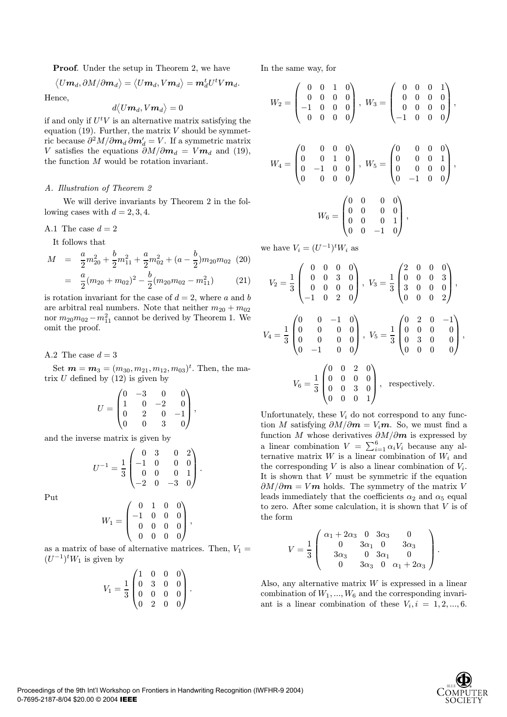Proof. Under the setup in Theorem 2, we have

$$
\big\langle U\bm{m}_d,\partial M/\partial\bm{m}_d\big\rangle=\big\langle U\bm{m}_d,V\bm{m}_d\big\rangle=\bm{m}_d^tU^tV\bm{m}_d.
$$

Hence,

$$
d\big\langle U\bm{m}_d, V\bm{m}_d\big\rangle=0
$$

if and only if  $U^t V$  is an alternative matrix satisfying the equation (19). Further, the matrix  $V$  should be symmetric because  $\partial^2 M / \partial \boldsymbol{m}_d \, \partial \boldsymbol{m}_d' = V$ . If a symmetric matrix V satisfies the equations  $\partial M/\partial m_d = V m_d$  and (19), the function  $M$  would be rotation invariant.

## A. Illustration of Theorem 2

We will derive invariants by Theorem 2 in the following cases with  $d = 2, 3, 4$ .

A.1 The case 
$$
d = 2
$$

It follows that

$$
M = \frac{a}{2}m_{20}^2 + \frac{b}{2}m_{11}^2 + \frac{a}{2}m_{02}^2 + (a - \frac{b}{2})m_{20}m_{02}
$$
 (20)  

$$
= \frac{a}{2}(m_{20} + m_{02})^2 - \frac{b}{2}(m_{20}m_{02} - m_{11}^2)
$$
 (21)

is rotation invariant for the case of  $d = 2$ , where a and b are arbitral real numbers. Note that neither  $m_{20} + m_{02}$ nor  $m_{20}m_{02}-m_{11}^2$  cannot be derived by Theorem 1. We omit the proof.

A.2 The case  $d = 3$ 

Set  $\boldsymbol{m} = \boldsymbol{m}_3 = (m_{30}, m_{21}, m_{12}, m_{03})^t$ . Then, the matrix  $U$  defined by  $(12)$  is given by

$$
U = \begin{pmatrix} 0 & -3 & 0 & 0 \\ 1 & 0 & -2 & 0 \\ 0 & 2 & 0 & -1 \\ 0 & 0 & 3 & 0 \end{pmatrix},
$$

and the inverse matrix is given by

$$
U^{-1} = \frac{1}{3} \begin{pmatrix} 0 & 3 & 0 & 2 \\ -1 & 0 & 0 & 0 \\ 0 & 0 & 0 & 1 \\ -2 & 0 & -3 & 0 \end{pmatrix}.
$$

Put

$$
W_1 = \begin{pmatrix} 0 & 1 & 0 & 0 \\ -1 & 0 & 0 & 0 \\ 0 & 0 & 0 & 0 \\ 0 & 0 & 0 & 0 \end{pmatrix},
$$

as a matrix of base of alternative matrices. Then,  $V_1 =$  $(U^{-1})^t W_1$  is given by

$$
V_1 = \frac{1}{3} \begin{pmatrix} 1 & 0 & 0 & 0 \\ 0 & 3 & 0 & 0 \\ 0 & 0 & 0 & 0 \\ 0 & 2 & 0 & 0 \end{pmatrix}.
$$

In the same way, for

$$
W_2 = \begin{pmatrix} 0 & 0 & 1 & 0 \\ 0 & 0 & 0 & 0 \\ -1 & 0 & 0 & 0 \\ 0 & 0 & 0 & 0 \end{pmatrix}, W_3 = \begin{pmatrix} 0 & 0 & 0 & 1 \\ 0 & 0 & 0 & 0 \\ 0 & 0 & 0 & 0 \\ -1 & 0 & 0 & 0 \end{pmatrix},
$$
  

$$
W_4 = \begin{pmatrix} 0 & 0 & 0 & 0 \\ 0 & 0 & 1 & 0 \\ 0 & -1 & 0 & 0 \\ 0 & 0 & 0 & 0 \end{pmatrix}, W_5 = \begin{pmatrix} 0 & 0 & 0 & 0 \\ 0 & 0 & 0 & 1 \\ 0 & 0 & 0 & 0 \\ 0 & -1 & 0 & 0 \end{pmatrix},
$$
  

$$
W_6 = \begin{pmatrix} 0 & 0 & 0 & 0 \\ 0 & 0 & 0 & 0 \\ 0 & 0 & 0 & 1 \\ 0 & 0 & -1 & 0 \end{pmatrix},
$$

we have  $V_i = (U^{-1})^t W_i$  as

$$
V_2 = \frac{1}{3} \begin{pmatrix} 0 & 0 & 0 & 0 \\ 0 & 0 & 3 & 0 \\ 0 & 0 & 0 & 0 \\ -1 & 0 & 2 & 0 \end{pmatrix}, V_3 = \frac{1}{3} \begin{pmatrix} 2 & 0 & 0 & 0 \\ 0 & 0 & 0 & 3 \\ 3 & 0 & 0 & 0 \\ 0 & 0 & 0 & 2 \end{pmatrix},
$$
  

$$
V_4 = \frac{1}{3} \begin{pmatrix} 0 & 0 & -1 & 0 \\ 0 & 0 & 0 & 0 \\ 0 & 0 & 0 & 0 \\ 0 & -1 & 0 & 0 \end{pmatrix}, V_5 = \frac{1}{3} \begin{pmatrix} 0 & 2 & 0 & -1 \\ 0 & 0 & 0 & 0 \\ 0 & 3 & 0 & 0 \\ 0 & 0 & 0 & 0 \end{pmatrix},
$$
  

$$
V_6 = \frac{1}{3} \begin{pmatrix} 0 & 0 & 2 & 0 \\ 0 & 0 & 0 & 0 \\ 0 & 0 & 3 & 0 \\ 0 & 0 & 0 & 1 \end{pmatrix}, \text{ respectively.}
$$

Unfortunately, these  $V_i$  do not correspond to any function M satisfying  $\partial M/\partial m = V_i m$ . So, we must find a function M whose derivatives  $\partial M/\partial m$  is expressed by a linear combination  $V = \sum_{i=1}^{6} \alpha_i V_i$  because any alternative matrix  $W$  is a linear combination of  $W_i$  and the corresponding  $V$  is also a linear combination of  $V_i$ . It is shown that  $V$  must be symmetric if the equation  $\partial M/\partial m = V m$  holds. The symmetry of the matrix V leads immediately that the coefficients  $\alpha_2$  and  $\alpha_5$  equal to zero. After some calculation, it is shown that  $V$  is of the form

$$
V = \frac{1}{3} \begin{pmatrix} \alpha_1 + 2\alpha_3 & 0 & 3\alpha_3 & 0 \\ 0 & 3\alpha_1 & 0 & 3\alpha_3 \\ 3\alpha_3 & 0 & 3\alpha_1 & 0 \\ 0 & 3\alpha_3 & 0 & \alpha_1 + 2\alpha_3 \end{pmatrix}.
$$

Also, any alternative matrix  $W$  is expressed in a linear combination of  $W_1, ..., W_6$  and the corresponding invariant is a linear combination of these  $V_i$ ,  $i = 1, 2, ..., 6$ .